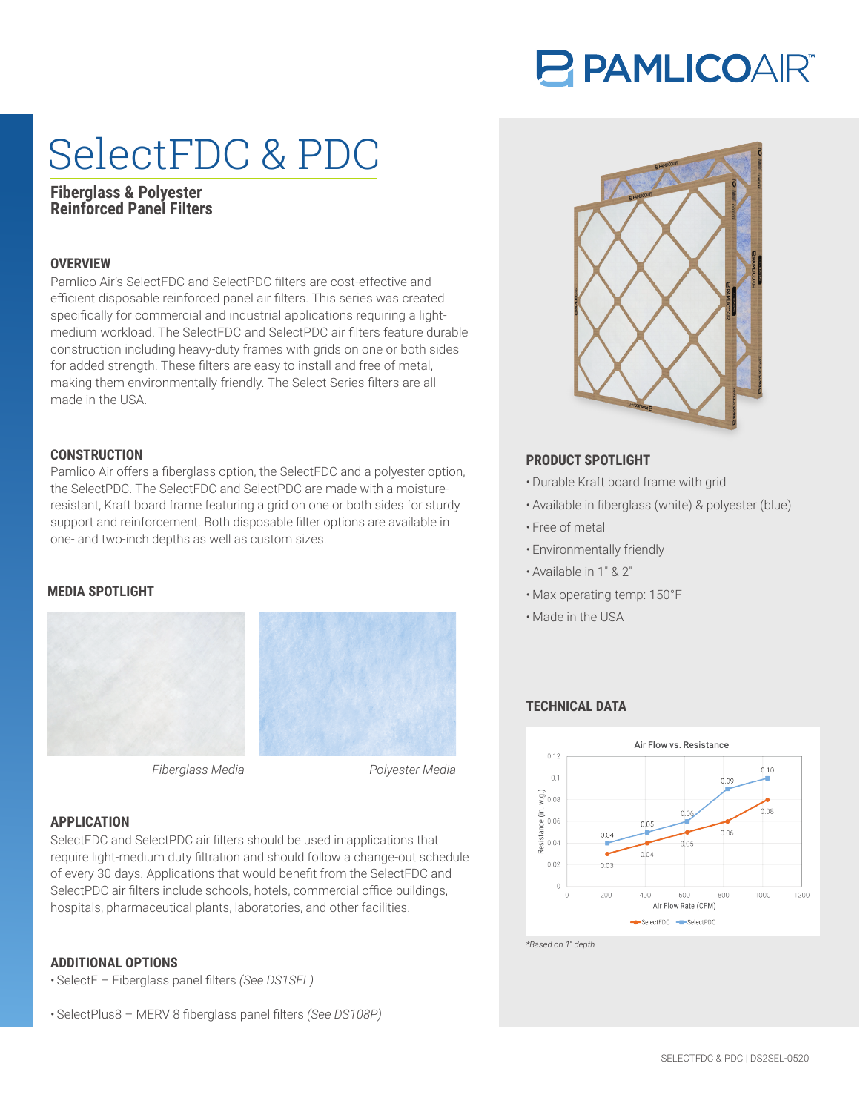# **PAMLICOAR®**

# SelectFDC & PDC

# **Fiberglass & Polyester Reinforced Panel Filters**

## **OVERVIEW**

Pamlico Air's SelectFDC and SelectPDC filters are cost-effective and efficient disposable reinforced panel air filters. This series was created specifically for commercial and industrial applications requiring a lightmedium workload. The SelectFDC and SelectPDC air filters feature durable construction including heavy-duty frames with grids on one or both sides for added strength. These filters are easy to install and free of metal, making them environmentally friendly. The Select Series filters are all made in the USA.

Pamlico Air offers a fiberglass option, the SelectFDC and a polyester option, **CONSTRUCTION PRODUCT SPOTLIGHT** the SelectPDC. The SelectFDC and SelectPDC are made with a moistureresistant, Kraft board frame featuring a grid on one or both sides for sturdy support and reinforcement. Both disposable filter options are available in one- and two-inch depths as well as custom sizes.

### **MEDIA SPOTLIGHT**





*Fiberglass Media Polyester Media*

### **APPLICATION**

SelectFDC and SelectPDC air filters should be used in applications that require light-medium duty filtration and should follow a change-out schedule of every 30 days. Applications that would benefit from the SelectFDC and SelectPDC air filters include schools, hotels, commercial office buildings, hospitals, pharmaceutical plants, laboratories, and other facilities.

### **ADDITIONAL OPTIONS**

- SelectF Fiberglass panel filters *(See DS1SEL)*
- SelectPlus8 MERV 8 fiberglass panel filters *(See DS108P)*



- Durable Kraft board frame with grid
- Available in fiberglass (white) & polyester (blue)
- Free of metal
- Environmentally friendly
- Available in 1″ & 2″
- Max operating temp: 150°F
- Made in the USA

## **TECHNICAL DATA**



*\*Based on 1*″ *depth*